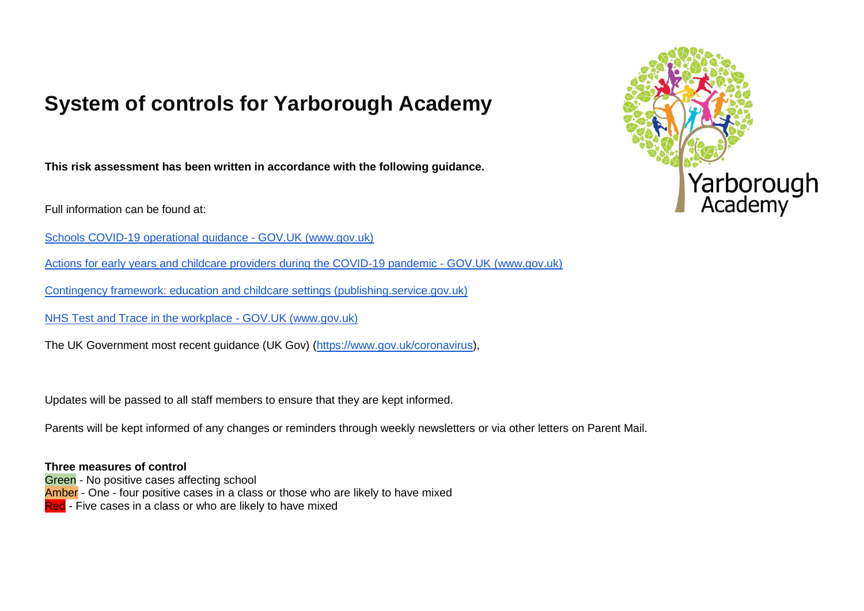# **System of controls for Yarborough Academy**

**This risk assessment has been written in accordance with the following guidance.**

Full information can be found at:

[Schools COVID-19 operational guidance -](https://www.gov.uk/government/publications/actions-for-schools-during-the-coronavirus-outbreak/schools-covid-19-operational-guidance#summary) GOV.UK [\(www.gov.uk](http://www.gov.uk/)[\)](https://www.gov.uk/government/publications/actions-for-schools-during-the-coronavirus-outbreak/schools-covid-19-operational-guidance#summary)

[Actions for early years and childcare providers during the COVID-19 pandemic -](https://www.gov.uk/government/publications/coronavirus-covid-19-early-years-and-childcare-closures/actions-for-early-years-and-childcare-providers-during-the-covid-19-pandemic) GOV.UK [\(www.gov.uk](http://www.gov.uk/)[\)](https://www.gov.uk/government/publications/coronavirus-covid-19-early-years-and-childcare-closures/actions-for-early-years-and-childcare-providers-during-the-covid-19-pandemic)

[Contingency framework: education and childcare settings \(publishing.service.gov.uk\)](https://assets.publishing.service.gov.uk/government/uploads/system/uploads/attachment_data/file/1011704/20210817_Contingency_Framework_FINAL.pdf)

[NHS Test and Trace in the workplace -](https://www.gov.uk/guidance/nhs-test-and-trace-workplace-guidance?utm_medium=email&utm_campaign=govuk-notifications&utm_source=09bc689c-73ca-4445-94fe-4f79828ed4e2&utm_content=daily) GOV.UK (www.gov.uk)

The UK Government most recent guidance (UK Gov) [\(https://www.gov.uk/coronavirus\)](https://www.gov.uk/coronavirus),

Updates will be passed to all staff members to ensure that they are kept informed.

Parents will be kept informed of any changes or reminders through weekly newsletters or via other letters on Parent Mail.

**Three measures of control** Green - No positive cases affecting school Amber - One - four positive cases in a class or those who are likely to have mixed Red - Five cases in a class or who are likely to have mixed

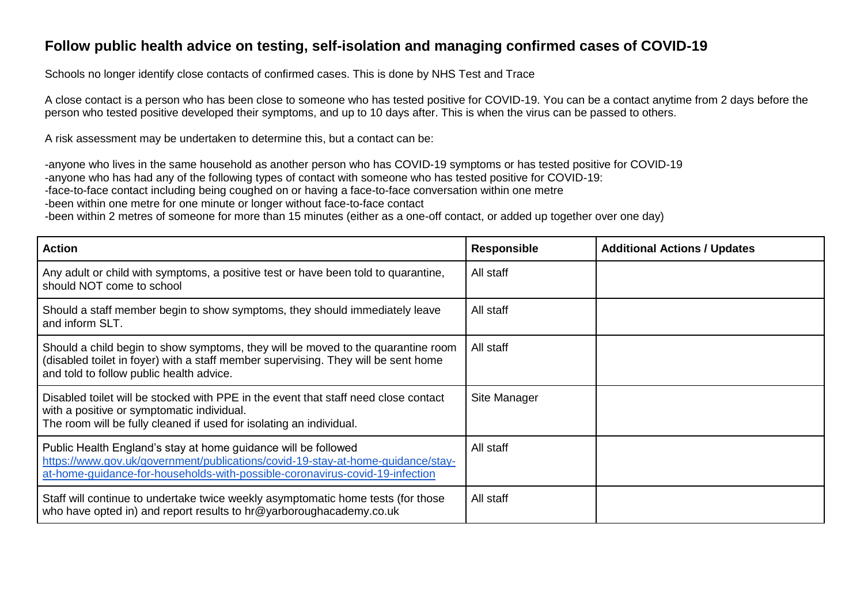### **Follow public health advice on testing, self-isolation and managing confirmed cases of COVID-19**

Schools no longer identify close contacts of confirmed cases. This is done by NHS Test and Trace

A close contact is a person who has been close to someone who has tested positive for COVID-19. You can be a contact anytime from 2 days before the person who tested positive developed their symptoms, and up to 10 days after. This is when the virus can be passed to others.

A risk assessment may be undertaken to determine this, but a contact can be:

-anyone who lives in the same household as another person who has COVID-19 symptoms or has tested positive for COVID-19 -anyone who has had any of the following types of contact with someone who has tested positive for COVID-19:

-face-to-face contact including being coughed on or having a face-to-face conversation within one metre

-been within one metre for one minute or longer without face-to-face contact

-been within 2 metres of someone for more than 15 minutes (either as a one-off contact, or added up together over one day)

| <b>Action</b>                                                                                                                                                                                                                     | <b>Responsible</b> | <b>Additional Actions / Updates</b> |
|-----------------------------------------------------------------------------------------------------------------------------------------------------------------------------------------------------------------------------------|--------------------|-------------------------------------|
| Any adult or child with symptoms, a positive test or have been told to quarantine,<br>should NOT come to school                                                                                                                   | All staff          |                                     |
| Should a staff member begin to show symptoms, they should immediately leave<br>and inform SLT.                                                                                                                                    | All staff          |                                     |
| Should a child begin to show symptoms, they will be moved to the quarantine room<br>(disabled toilet in foyer) with a staff member supervising. They will be sent home<br>and told to follow public health advice.                | All staff          |                                     |
| Disabled toilet will be stocked with PPE in the event that staff need close contact<br>with a positive or symptomatic individual.<br>The room will be fully cleaned if used for isolating an individual.                          | Site Manager       |                                     |
| Public Health England's stay at home guidance will be followed<br>https://www.gov.uk/government/publications/covid-19-stay-at-home-guidance/stay-<br>at-home-guidance-for-households-with-possible-coronavirus-covid-19-infection | All staff          |                                     |
| Staff will continue to undertake twice weekly asymptomatic home tests (for those<br>who have opted in) and report results to hr@yarboroughacademy.co.uk                                                                           | All staff          |                                     |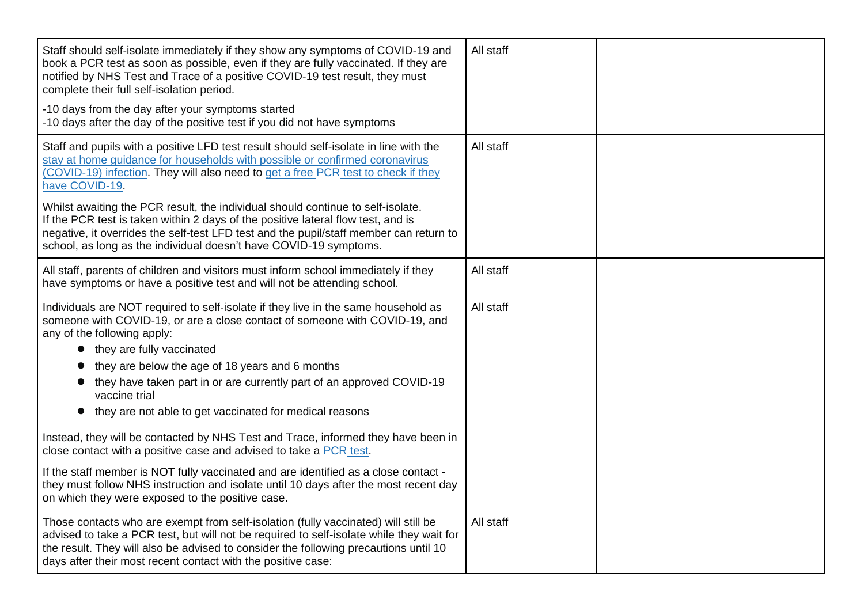| Staff should self-isolate immediately if they show any symptoms of COVID-19 and<br>book a PCR test as soon as possible, even if they are fully vaccinated. If they are<br>notified by NHS Test and Trace of a positive COVID-19 test result, they must<br>complete their full self-isolation period.                                   | All staff |  |
|----------------------------------------------------------------------------------------------------------------------------------------------------------------------------------------------------------------------------------------------------------------------------------------------------------------------------------------|-----------|--|
| -10 days from the day after your symptoms started<br>-10 days after the day of the positive test if you did not have symptoms                                                                                                                                                                                                          |           |  |
| Staff and pupils with a positive LFD test result should self-isolate in line with the<br>stay at home guidance for households with possible or confirmed coronavirus<br>(COVID-19) infection. They will also need to get a free PCR test to check if they<br>have COVID-19.                                                            | All staff |  |
| Whilst awaiting the PCR result, the individual should continue to self-isolate.<br>If the PCR test is taken within 2 days of the positive lateral flow test, and is<br>negative, it overrides the self-test LFD test and the pupil/staff member can return to<br>school, as long as the individual doesn't have COVID-19 symptoms.     |           |  |
| All staff, parents of children and visitors must inform school immediately if they<br>have symptoms or have a positive test and will not be attending school.                                                                                                                                                                          | All staff |  |
| Individuals are NOT required to self-isolate if they live in the same household as<br>someone with COVID-19, or are a close contact of someone with COVID-19, and<br>any of the following apply:                                                                                                                                       | All staff |  |
| • they are fully vaccinated                                                                                                                                                                                                                                                                                                            |           |  |
| they are below the age of 18 years and 6 months                                                                                                                                                                                                                                                                                        |           |  |
| they have taken part in or are currently part of an approved COVID-19<br>vaccine trial                                                                                                                                                                                                                                                 |           |  |
| they are not able to get vaccinated for medical reasons                                                                                                                                                                                                                                                                                |           |  |
| Instead, they will be contacted by NHS Test and Trace, informed they have been in<br>close contact with a positive case and advised to take a PCR test.                                                                                                                                                                                |           |  |
| If the staff member is NOT fully vaccinated and are identified as a close contact -<br>they must follow NHS instruction and isolate until 10 days after the most recent day<br>on which they were exposed to the positive case.                                                                                                        |           |  |
| Those contacts who are exempt from self-isolation (fully vaccinated) will still be<br>advised to take a PCR test, but will not be required to self-isolate while they wait for<br>the result. They will also be advised to consider the following precautions until 10<br>days after their most recent contact with the positive case: | All staff |  |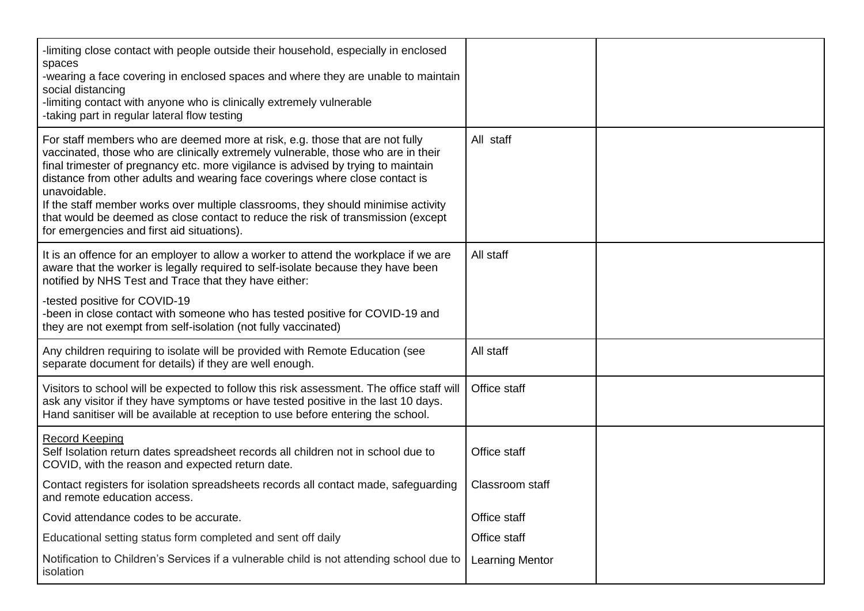| -limiting close contact with people outside their household, especially in enclosed<br>spaces<br>-wearing a face covering in enclosed spaces and where they are unable to maintain<br>social distancing<br>-limiting contact with anyone who is clinically extremely vulnerable<br>-taking part in regular lateral flow testing                                                                                                                                                                                                                                               |                        |  |
|-------------------------------------------------------------------------------------------------------------------------------------------------------------------------------------------------------------------------------------------------------------------------------------------------------------------------------------------------------------------------------------------------------------------------------------------------------------------------------------------------------------------------------------------------------------------------------|------------------------|--|
| For staff members who are deemed more at risk, e.g. those that are not fully<br>vaccinated, those who are clinically extremely vulnerable, those who are in their<br>final trimester of pregnancy etc. more vigilance is advised by trying to maintain<br>distance from other adults and wearing face coverings where close contact is<br>unavoidable.<br>If the staff member works over multiple classrooms, they should minimise activity<br>that would be deemed as close contact to reduce the risk of transmission (except<br>for emergencies and first aid situations). | All staff              |  |
| It is an offence for an employer to allow a worker to attend the workplace if we are<br>aware that the worker is legally required to self-isolate because they have been<br>notified by NHS Test and Trace that they have either:                                                                                                                                                                                                                                                                                                                                             | All staff              |  |
| -tested positive for COVID-19<br>-been in close contact with someone who has tested positive for COVID-19 and<br>they are not exempt from self-isolation (not fully vaccinated)                                                                                                                                                                                                                                                                                                                                                                                               |                        |  |
| Any children requiring to isolate will be provided with Remote Education (see<br>separate document for details) if they are well enough.                                                                                                                                                                                                                                                                                                                                                                                                                                      | All staff              |  |
| Visitors to school will be expected to follow this risk assessment. The office staff will<br>ask any visitor if they have symptoms or have tested positive in the last 10 days.<br>Hand sanitiser will be available at reception to use before entering the school.                                                                                                                                                                                                                                                                                                           | Office staff           |  |
| <b>Record Keeping</b><br>Self Isolation return dates spreadsheet records all children not in school due to<br>COVID, with the reason and expected return date.                                                                                                                                                                                                                                                                                                                                                                                                                | Office staff           |  |
| Contact registers for isolation spreadsheets records all contact made, safeguarding<br>and remote education access.                                                                                                                                                                                                                                                                                                                                                                                                                                                           | Classroom staff        |  |
| Covid attendance codes to be accurate.                                                                                                                                                                                                                                                                                                                                                                                                                                                                                                                                        | Office staff           |  |
| Educational setting status form completed and sent off daily                                                                                                                                                                                                                                                                                                                                                                                                                                                                                                                  | Office staff           |  |
| Notification to Children's Services if a vulnerable child is not attending school due to<br>isolation                                                                                                                                                                                                                                                                                                                                                                                                                                                                         | <b>Learning Mentor</b> |  |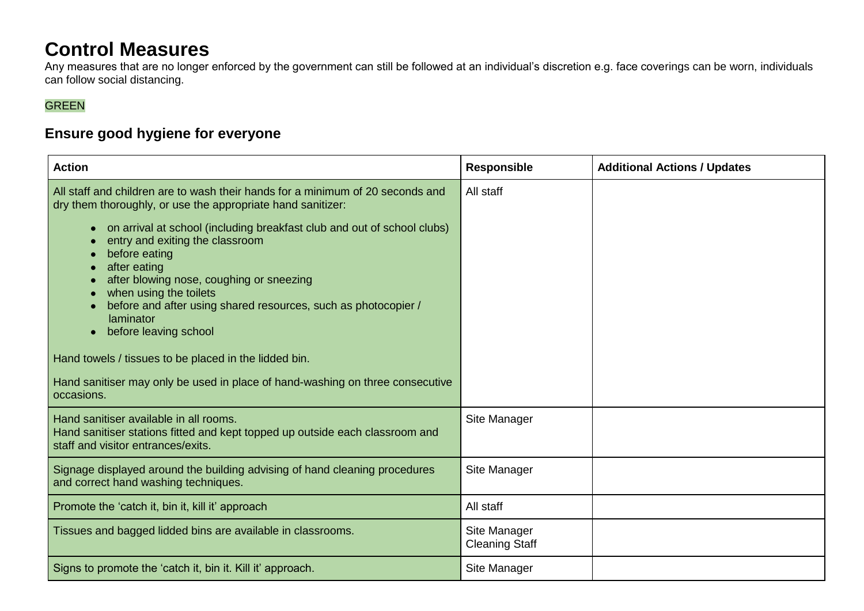## **Control Measures**

Any measures that are no longer enforced by the government can still be followed at an individual's discretion e.g. face coverings can be worn, individuals can follow social distancing.

### GREEN

### **Ensure good hygiene for everyone**

| <b>Action</b>                                                                                                                                                                                                                                                                                                                                                                                                                                                                                                                                                                                                                      | <b>Responsible</b>                    | <b>Additional Actions / Updates</b> |
|------------------------------------------------------------------------------------------------------------------------------------------------------------------------------------------------------------------------------------------------------------------------------------------------------------------------------------------------------------------------------------------------------------------------------------------------------------------------------------------------------------------------------------------------------------------------------------------------------------------------------------|---------------------------------------|-------------------------------------|
| All staff and children are to wash their hands for a minimum of 20 seconds and<br>dry them thoroughly, or use the appropriate hand sanitizer:<br>on arrival at school (including breakfast club and out of school clubs)<br>entry and exiting the classroom<br>before eating<br>after eating<br>after blowing nose, coughing or sneezing<br>when using the toilets<br>before and after using shared resources, such as photocopier /<br>laminator<br>before leaving school<br>Hand towels / tissues to be placed in the lidded bin.<br>Hand sanitiser may only be used in place of hand-washing on three consecutive<br>occasions. | All staff                             |                                     |
| Hand sanitiser available in all rooms.<br>Hand sanitiser stations fitted and kept topped up outside each classroom and<br>staff and visitor entrances/exits.                                                                                                                                                                                                                                                                                                                                                                                                                                                                       | Site Manager                          |                                     |
| Signage displayed around the building advising of hand cleaning procedures<br>and correct hand washing techniques.                                                                                                                                                                                                                                                                                                                                                                                                                                                                                                                 | Site Manager                          |                                     |
| Promote the 'catch it, bin it, kill it' approach                                                                                                                                                                                                                                                                                                                                                                                                                                                                                                                                                                                   | All staff                             |                                     |
| Tissues and bagged lidded bins are available in classrooms.                                                                                                                                                                                                                                                                                                                                                                                                                                                                                                                                                                        | Site Manager<br><b>Cleaning Staff</b> |                                     |
| Signs to promote the 'catch it, bin it. Kill it' approach.                                                                                                                                                                                                                                                                                                                                                                                                                                                                                                                                                                         | Site Manager                          |                                     |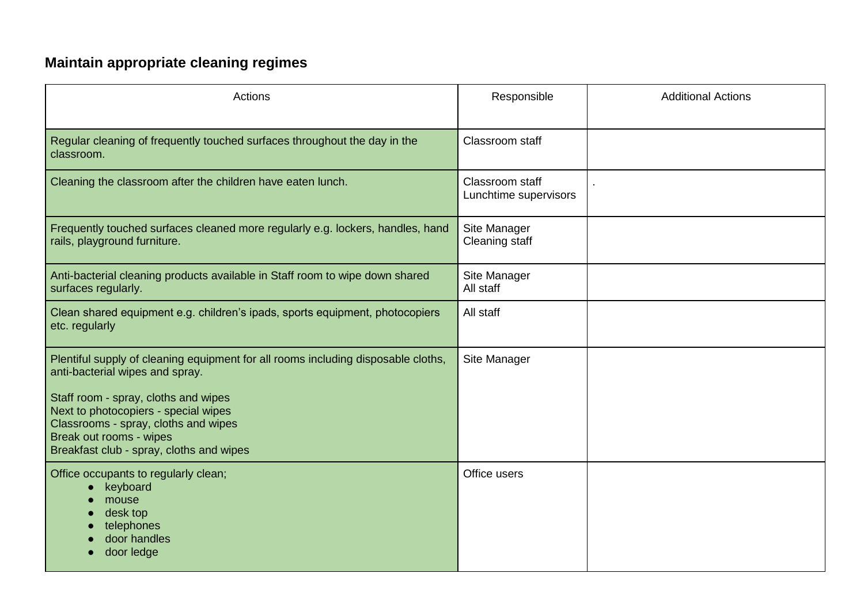## **Maintain appropriate cleaning regimes**

| Actions                                                                                                                                                                                                                                                                                                             | Responsible                              | <b>Additional Actions</b> |
|---------------------------------------------------------------------------------------------------------------------------------------------------------------------------------------------------------------------------------------------------------------------------------------------------------------------|------------------------------------------|---------------------------|
| Regular cleaning of frequently touched surfaces throughout the day in the<br>classroom.                                                                                                                                                                                                                             | Classroom staff                          |                           |
| Cleaning the classroom after the children have eaten lunch.                                                                                                                                                                                                                                                         | Classroom staff<br>Lunchtime supervisors |                           |
| Frequently touched surfaces cleaned more regularly e.g. lockers, handles, hand<br>rails, playground furniture.                                                                                                                                                                                                      | Site Manager<br><b>Cleaning staff</b>    |                           |
| Anti-bacterial cleaning products available in Staff room to wipe down shared<br>surfaces regularly.                                                                                                                                                                                                                 | Site Manager<br>All staff                |                           |
| Clean shared equipment e.g. children's ipads, sports equipment, photocopiers<br>etc. regularly                                                                                                                                                                                                                      | All staff                                |                           |
| Plentiful supply of cleaning equipment for all rooms including disposable cloths,<br>anti-bacterial wipes and spray.<br>Staff room - spray, cloths and wipes<br>Next to photocopiers - special wipes<br>Classrooms - spray, cloths and wipes<br>Break out rooms - wipes<br>Breakfast club - spray, cloths and wipes | Site Manager                             |                           |
| Office occupants to regularly clean;<br>keyboard<br>mouse<br>desk top<br>telephones<br>door handles<br>door ledge                                                                                                                                                                                                   | Office users                             |                           |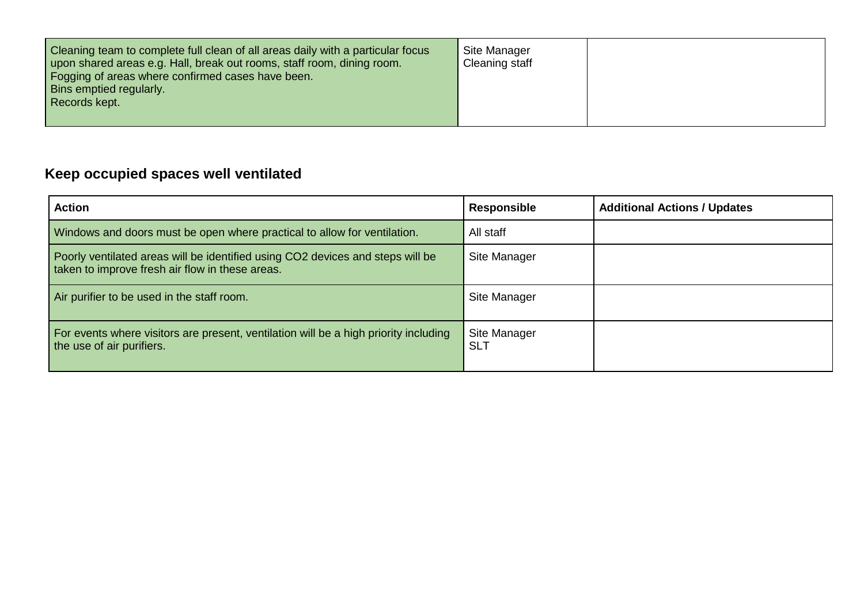| Cleaning team to complete full clean of all areas daily with a particular focus<br>upon shared areas e.g. Hall, break out rooms, staff room, dining room.<br>Fogging of areas where confirmed cases have been.<br><b>Bins emptied regularly.</b><br>Records kept. | Site Manager<br>Cleaning staff |  |
|-------------------------------------------------------------------------------------------------------------------------------------------------------------------------------------------------------------------------------------------------------------------|--------------------------------|--|
|                                                                                                                                                                                                                                                                   |                                |  |

### **Keep occupied spaces well ventilated**

| <b>Action</b>                                                                                                                     | <b>Responsible</b>         | <b>Additional Actions / Updates</b> |
|-----------------------------------------------------------------------------------------------------------------------------------|----------------------------|-------------------------------------|
| Windows and doors must be open where practical to allow for ventilation.                                                          | All staff                  |                                     |
| Poorly ventilated areas will be identified using CO2 devices and steps will be<br>taken to improve fresh air flow in these areas. | Site Manager               |                                     |
| Air purifier to be used in the staff room.                                                                                        | Site Manager               |                                     |
| For events where visitors are present, ventilation will be a high priority including<br>the use of air purifiers.                 | Site Manager<br><b>SLT</b> |                                     |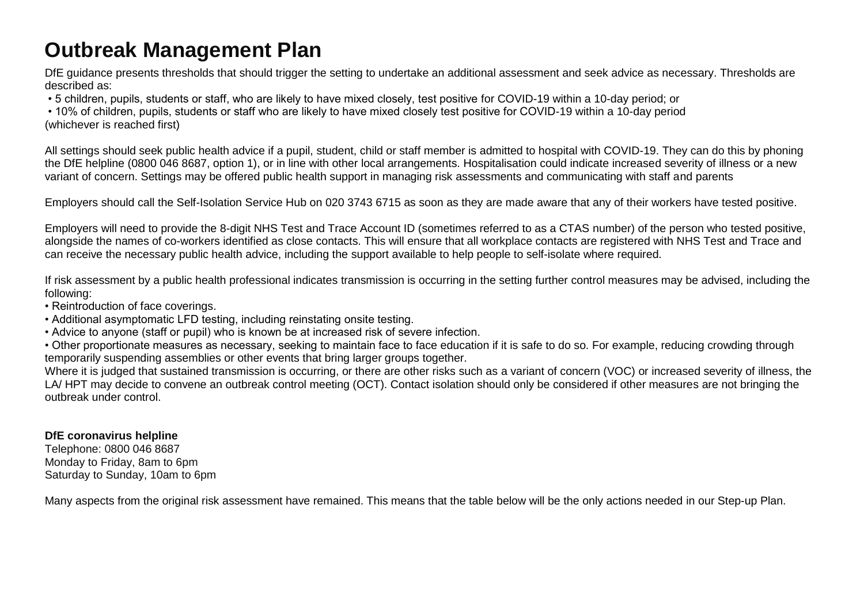# **Outbreak Management Plan**

DfE guidance presents thresholds that should trigger the setting to undertake an additional assessment and seek advice as necessary. Thresholds are described as:

• 5 children, pupils, students or staff, who are likely to have mixed closely, test positive for COVID-19 within a 10-day period; or

• 10% of children, pupils, students or staff who are likely to have mixed closely test positive for COVID-19 within a 10-day period (whichever is reached first)

All settings should seek public health advice if a pupil, student, child or staff member is admitted to hospital with COVID-19. They can do this by phoning the DfE helpline (0800 046 8687, option 1), or in line with other local arrangements. Hospitalisation could indicate increased severity of illness or a new variant of concern. Settings may be offered public health support in managing risk assessments and communicating with staff and parents

Employers should call the Self-Isolation Service Hub on 020 3743 6715 as soon as they are made aware that any of their workers have tested positive.

Employers will need to provide the 8-digit NHS Test and Trace Account ID (sometimes referred to as a CTAS number) of the person who tested positive, alongside the names of co-workers identified as close contacts. This will ensure that all workplace contacts are registered with NHS Test and Trace and can receive the necessary public health advice, including the support available to help people to self-isolate where required.

If risk assessment by a public health professional indicates transmission is occurring in the setting further control measures may be advised, including the following:

• Reintroduction of face coverings.

• Additional asymptomatic LFD testing, including reinstating onsite testing.

• Advice to anyone (staff or pupil) who is known be at increased risk of severe infection.

• Other proportionate measures as necessary, seeking to maintain face to face education if it is safe to do so. For example, reducing crowding through temporarily suspending assemblies or other events that bring larger groups together.

Where it is judged that sustained transmission is occurring, or there are other risks such as a variant of concern (VOC) or increased severity of illness, the LA/ HPT may decide to convene an outbreak control meeting (OCT). Contact isolation should only be considered if other measures are not bringing the outbreak under control.

#### **DfE coronavirus helpline**

Telephone: 0800 046 8687 Monday to Friday, 8am to 6pm Saturday to Sunday, 10am to 6pm

Many aspects from the original risk assessment have remained. This means that the table below will be the only actions needed in our Step-up Plan.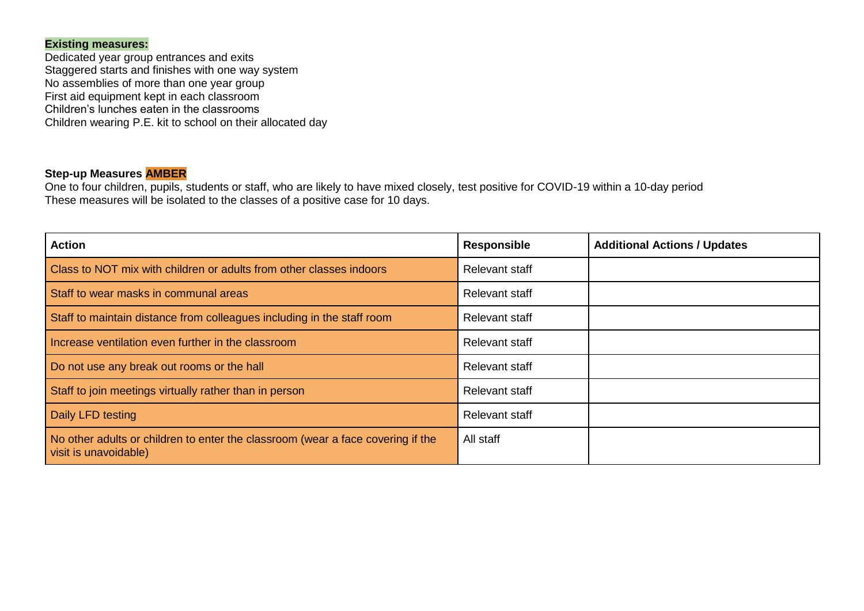#### **Existing measures:**

Dedicated year group entrances and exits Staggered starts and finishes with one way system No assemblies of more than one year group First aid equipment kept in each classroom Children's lunches eaten in the classrooms Children wearing P.E. kit to school on their allocated day

#### **Step-up Measures AMBER**

One to four children, pupils, students or staff, who are likely to have mixed closely, test positive for COVID-19 within a 10-day period These measures will be isolated to the classes of a positive case for 10 days.

| <b>Action</b>                                                                                            | <b>Responsible</b>    | <b>Additional Actions / Updates</b> |
|----------------------------------------------------------------------------------------------------------|-----------------------|-------------------------------------|
| Class to NOT mix with children or adults from other classes indoors                                      | Relevant staff        |                                     |
| Staff to wear masks in communal areas                                                                    | Relevant staff        |                                     |
| Staff to maintain distance from colleagues including in the staff room                                   | Relevant staff        |                                     |
| Increase ventilation even further in the classroom                                                       | <b>Relevant staff</b> |                                     |
| Do not use any break out rooms or the hall                                                               | <b>Relevant staff</b> |                                     |
| Staff to join meetings virtually rather than in person                                                   | <b>Relevant staff</b> |                                     |
| Daily LFD testing                                                                                        | Relevant staff        |                                     |
| No other adults or children to enter the classroom (wear a face covering if the<br>visit is unavoidable) | All staff             |                                     |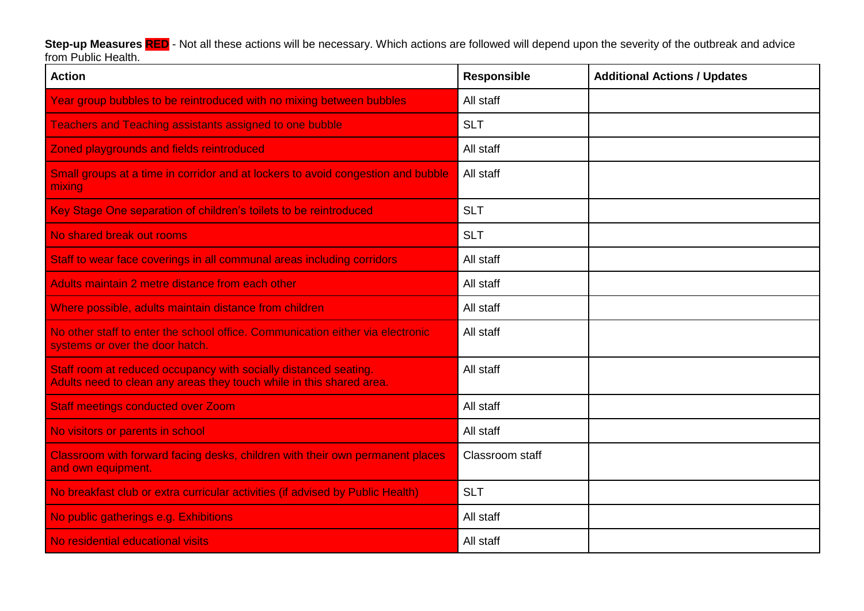**Step-up Measures RED** - Not all these actions will be necessary. Which actions are followed will depend upon the severity of the outbreak and advice from Public Health.

| <b>Action</b>                                                                                                                            | <b>Responsible</b> | <b>Additional Actions / Updates</b> |
|------------------------------------------------------------------------------------------------------------------------------------------|--------------------|-------------------------------------|
| Year group bubbles to be reintroduced with no mixing between bubbles                                                                     | All staff          |                                     |
| <b>Teachers and Teaching assistants assigned to one bubble</b>                                                                           | <b>SLT</b>         |                                     |
| Zoned playgrounds and fields reintroduced                                                                                                | All staff          |                                     |
| Small groups at a time in corridor and at lockers to avoid congestion and bubble<br>mixing                                               | All staff          |                                     |
| Key Stage One separation of children's toilets to be reintroduced                                                                        | <b>SLT</b>         |                                     |
| No shared break out rooms                                                                                                                | <b>SLT</b>         |                                     |
| Staff to wear face coverings in all communal areas including corridors                                                                   | All staff          |                                     |
| Adults maintain 2 metre distance from each other                                                                                         | All staff          |                                     |
| Where possible, adults maintain distance from children                                                                                   | All staff          |                                     |
| No other staff to enter the school office. Communication either via electronic<br>systems or over the door hatch.                        | All staff          |                                     |
| Staff room at reduced occupancy with socially distanced seating.<br>Adults need to clean any areas they touch while in this shared area. | All staff          |                                     |
| <b>Staff meetings conducted over Zoom</b>                                                                                                | All staff          |                                     |
| No visitors or parents in school                                                                                                         | All staff          |                                     |
| Classroom with forward facing desks, children with their own permanent places<br>and own equipment.                                      | Classroom staff    |                                     |
| No breakfast club or extra curricular activities (if advised by Public Health)                                                           | <b>SLT</b>         |                                     |
| No public gatherings e.g. Exhibitions                                                                                                    | All staff          |                                     |
| No residential educational visits                                                                                                        | All staff          |                                     |